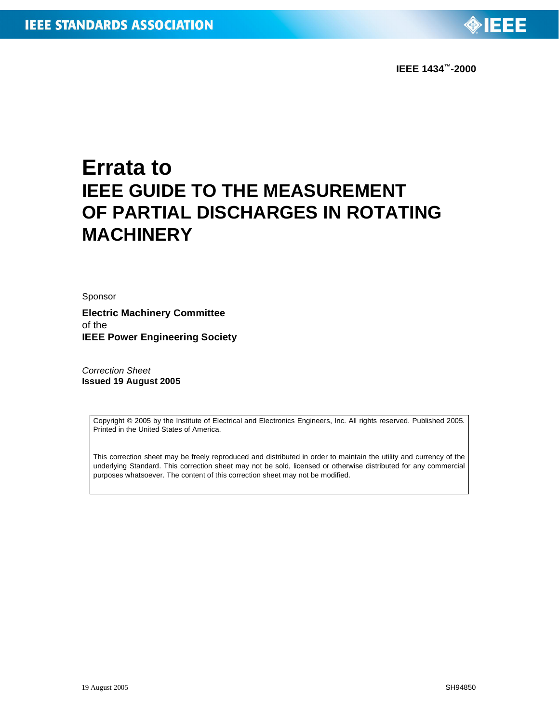

# **Errata to IEEE GUIDE TO THE MEASUREMENT OF PARTIAL DISCHARGES IN ROTATING MACHINERY**

Sponsor

**Electric Machinery Committee** of the **IEEE Power Engineering Society**

*Correction Sheet* **Issued 19 August 2005**

> Copyright © 2005 by the Institute of Electrical and Electronics Engineers, Inc. All rights reserved. Published 2005. Printed in the United States of America.

> This correction sheet may be freely reproduced and distributed in order to maintain the utility and currency of the underlying Standard. This correction sheet may not be sold, licensed or otherwise distributed for any commercial purposes whatsoever. The content of this correction sheet may not be modified.